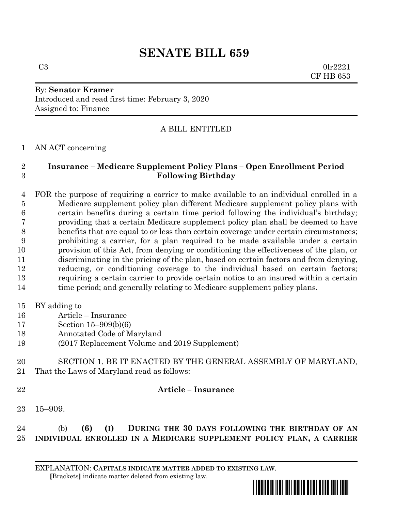# **SENATE BILL 659**

By: **Senator Kramer** Introduced and read first time: February 3, 2020 Assigned to: Finance

## A BILL ENTITLED

AN ACT concerning

#### **Insurance – Medicare Supplement Policy Plans – Open Enrollment Period Following Birthday**

 FOR the purpose of requiring a carrier to make available to an individual enrolled in a Medicare supplement policy plan different Medicare supplement policy plans with certain benefits during a certain time period following the individual's birthday; providing that a certain Medicare supplement policy plan shall be deemed to have benefits that are equal to or less than certain coverage under certain circumstances; prohibiting a carrier, for a plan required to be made available under a certain provision of this Act, from denying or conditioning the effectiveness of the plan, or discriminating in the pricing of the plan, based on certain factors and from denying, reducing, or conditioning coverage to the individual based on certain factors; requiring a certain carrier to provide certain notice to an insured within a certain 14 time period; and generally relating to Medicare supplement policy plans.

- BY adding to
- Article Insurance
- Section 15–909(b)(6)
- Annotated Code of Maryland
- (2017 Replacement Volume and 2019 Supplement)
- SECTION 1. BE IT ENACTED BY THE GENERAL ASSEMBLY OF MARYLAND, That the Laws of Maryland read as follows:
- 

## **Article – Insurance**

15–909.

# (b) **(6) (I) DURING THE 30 DAYS FOLLOWING THE BIRTHDAY OF AN INDIVIDUAL ENROLLED IN A MEDICARE SUPPLEMENT POLICY PLAN, A CARRIER**

EXPLANATION: **CAPITALS INDICATE MATTER ADDED TO EXISTING LAW**.  **[**Brackets**]** indicate matter deleted from existing law.



 $C3$  0lr2221 CF HB 653